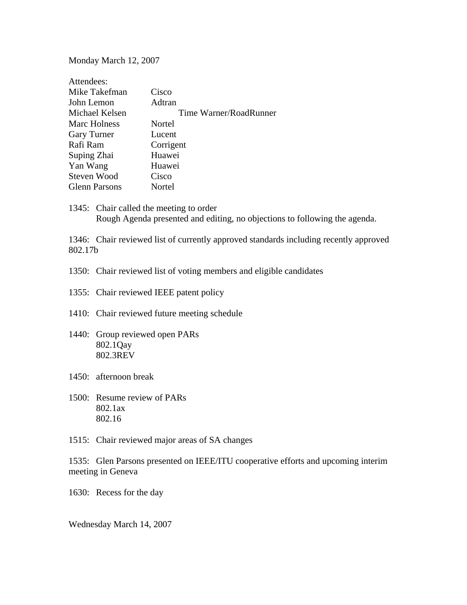Monday March 12, 2007

| Attendees:           |                        |
|----------------------|------------------------|
| Mike Takefman        | Cisco                  |
| John Lemon           | Adtran                 |
| Michael Kelsen       | Time Warner/RoadRunner |
| Marc Holness         | Nortel                 |
| <b>Gary Turner</b>   | Lucent                 |
| Rafi Ram             | Corrigent              |
| Suping Zhai          | Huawei                 |
| Yan Wang             | Huawei                 |
| Steven Wood          | Cisco                  |
| <b>Glenn Parsons</b> | Nortel                 |

1345: Chair called the meeting to order Rough Agenda presented and editing, no objections to following the agenda.

1346: Chair reviewed list of currently approved standards including recently approved 802.17b

1350: Chair reviewed list of voting members and eligible candidates

- 1355: Chair reviewed IEEE patent policy
- 1410: Chair reviewed future meeting schedule
- 1440: Group reviewed open PARs 802.1Qay 802.3REV
- 1450: afternoon break
- 1500: Resume review of PARs 802.1ax 802.16
- 1515: Chair reviewed major areas of SA changes

1535: Glen Parsons presented on IEEE/ITU cooperative efforts and upcoming interim meeting in Geneva

1630: Recess for the day

Wednesday March 14, 2007